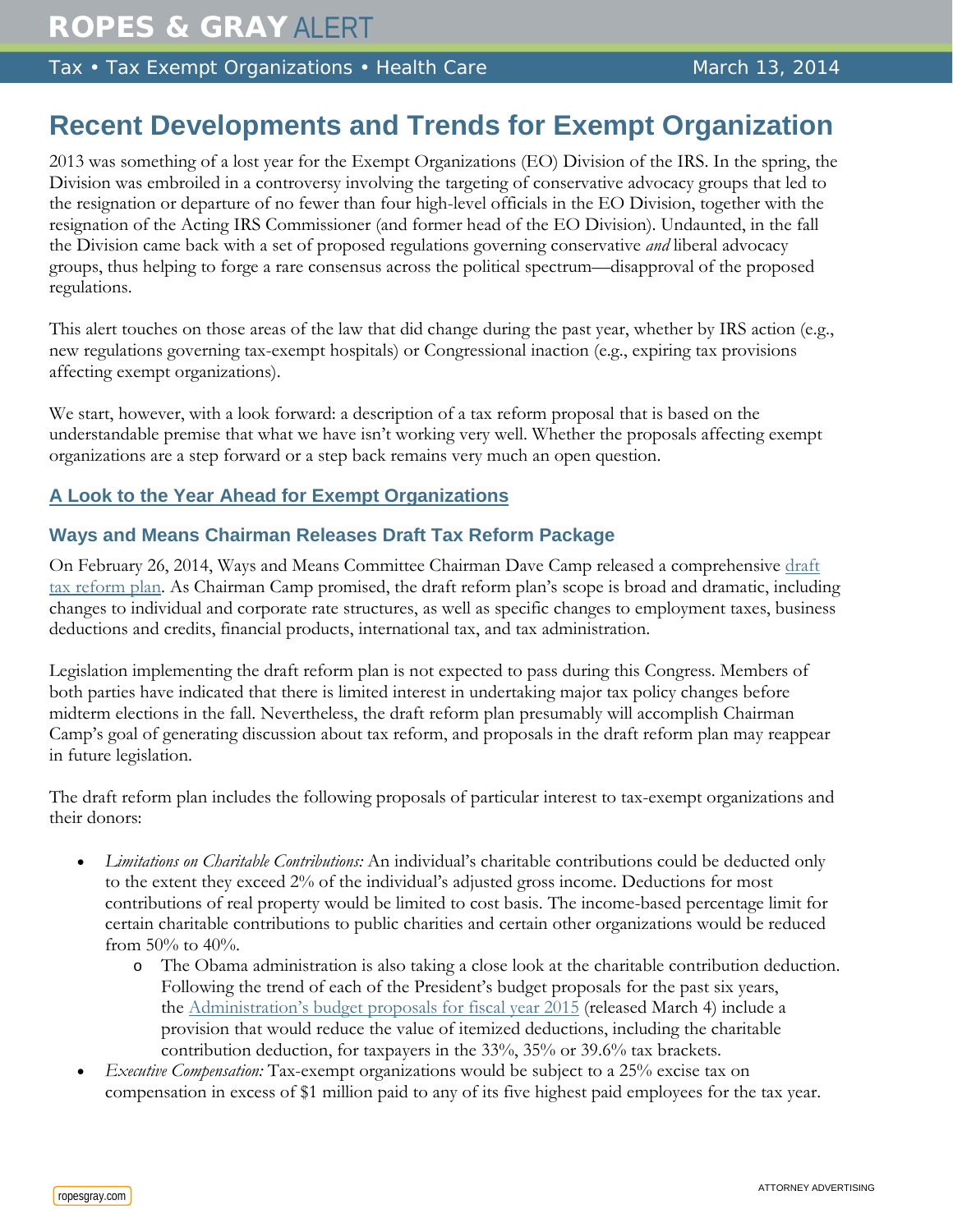Tax • Tax Exempt Organizations • Health Care March 13, 2014

# **Recent Developments and Trends for Exempt Organization**

2013 was something of a lost year for the Exempt Organizations (EO) Division of the IRS. In the spring, the Division was embroiled in a controversy involving the targeting of conservative advocacy groups that led to the resignation or departure of no fewer than four high-level officials in the EO Division, together with the resignation of the Acting IRS Commissioner (and former head of the EO Division). Undaunted, in the fall the Division came back with a set of proposed regulations governing conservative *and* liberal advocacy groups, thus helping to forge a rare consensus across the political spectrum—disapproval of the proposed regulations.

This alert touches on those areas of the law that did change during the past year, whether by IRS action (e.g., new regulations governing tax-exempt hospitals) or Congressional inaction (e.g., expiring tax provisions affecting exempt organizations).

We start, however, with a look forward: a description of a tax reform proposal that is based on the understandable premise that what we have isn't working very well. Whether the proposals affecting exempt organizations are a step forward or a step back remains very much an open question.

# **A Look to the Year Ahead for Exempt Organizations**

# **Ways and Means Chairman Releases Draft Tax Reform Package**

On February 26, 2014, Ways and Means Committee Chairman Dave Camp released a comprehensive draft [tax reform plan.](http://waysandmeans.house.gov/uploadedfiles/statutory_text_tax_reform_act_of_2014_discussion_draft__022614.pdf) As Chairman Camp promised, the draft reform plan's scope is broad and dramatic, including changes to individual and corporate rate structures, as well as specific changes to employment taxes, business deductions and credits, financial products, international tax, and tax administration.

Legislation implementing the draft reform plan is not expected to pass during this Congress. Members of both parties have indicated that there is limited interest in undertaking major tax policy changes before midterm elections in the fall. Nevertheless, the draft reform plan presumably will accomplish Chairman Camp's goal of generating discussion about tax reform, and proposals in the draft reform plan may reappear in future legislation.

The draft reform plan includes the following proposals of particular interest to tax-exempt organizations and their donors:

- *Limitations on Charitable Contributions:* An individual's charitable contributions could be deducted only to the extent they exceed 2% of the individual's adjusted gross income. Deductions for most contributions of real property would be limited to cost basis. The income-based percentage limit for certain charitable contributions to public charities and certain other organizations would be reduced from  $50\%$  to  $40\%$ .
	- o The Obama administration is also taking a close look at the charitable contribution deduction. Following the trend of each of the President's budget proposals for the past six years, the [Administration's budget proposals for fiscal year 2015](http://www.treasury.gov/resource-center/tax-policy/Pages/general_explanation.aspx) (released March 4) include a provision that would reduce the value of itemized deductions, including the charitable contribution deduction, for taxpayers in the 33%, 35% or 39.6% tax brackets.
- *Executive Compensation:* Tax-exempt organizations would be subject to a 25% excise tax on compensation in excess of \$1 million paid to any of its five highest paid employees for the tax year.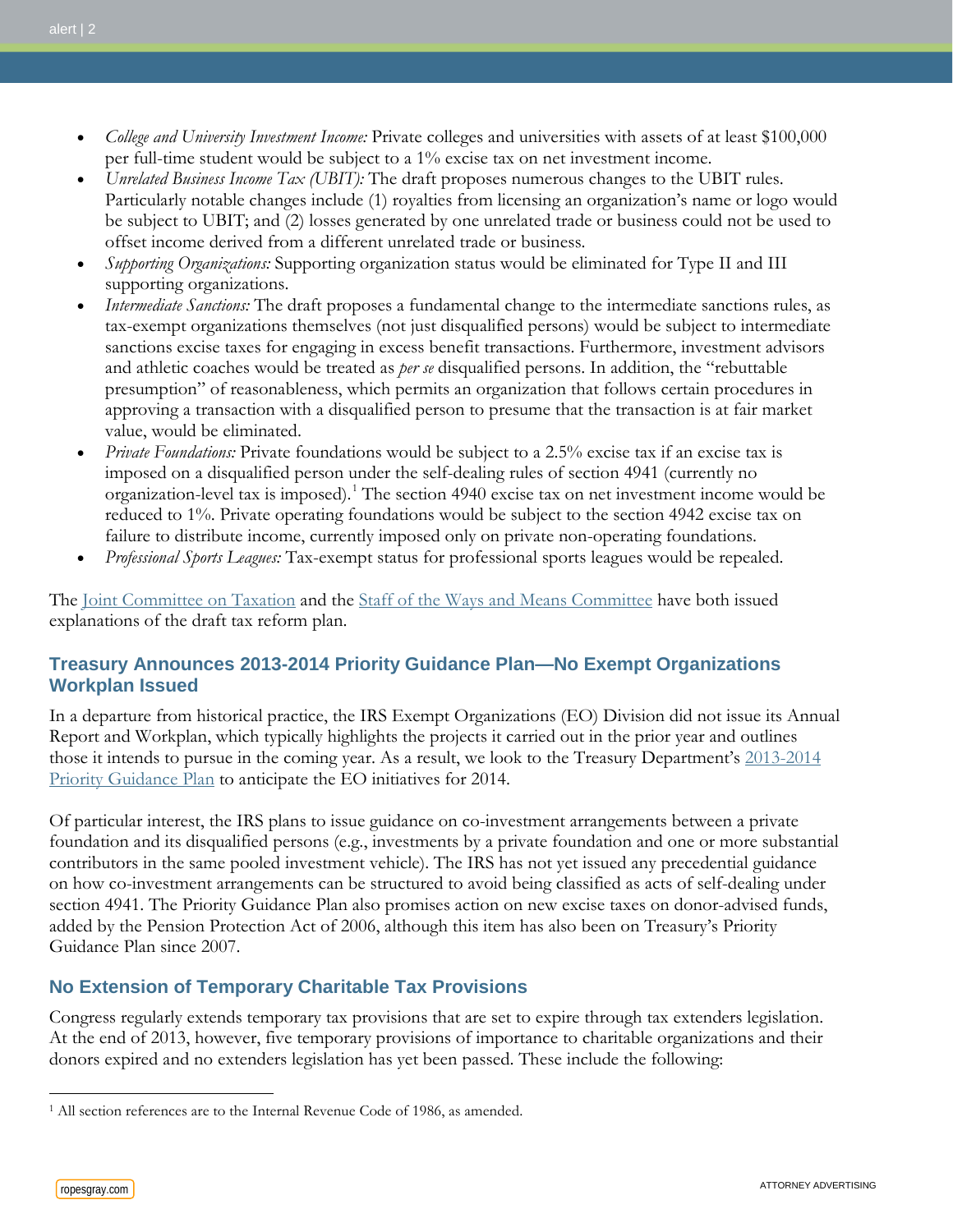- *College and University Investment Income:* Private colleges and universities with assets of at least \$100,000 per full-time student would be subject to a 1% excise tax on net investment income.
- *Unrelated Business Income Tax (UBIT):* The draft proposes numerous changes to the UBIT rules. Particularly notable changes include (1) royalties from licensing an organization's name or logo would be subject to UBIT; and (2) losses generated by one unrelated trade or business could not be used to offset income derived from a different unrelated trade or business.
- *Supporting Organizations:* Supporting organization status would be eliminated for Type II and III supporting organizations.
- *Intermediate Sanctions:* The draft proposes a fundamental change to the intermediate sanctions rules, as tax-exempt organizations themselves (not just disqualified persons) would be subject to intermediate sanctions excise taxes for engaging in excess benefit transactions. Furthermore, investment advisors and athletic coaches would be treated as *per se* disqualified persons. In addition, the "rebuttable presumption" of reasonableness, which permits an organization that follows certain procedures in approving a transaction with a disqualified person to presume that the transaction is at fair market value, would be eliminated.
- *Private Foundations:* Private foundations would be subject to a 2.5% excise tax if an excise tax is imposed on a disqualified person under the self-dealing rules of section 4941 (currently no organization-level tax is imposed).[1](#page-1-0) The section 4940 excise tax on net investment income would be reduced to 1%. Private operating foundations would be subject to the section 4942 excise tax on failure to distribute income, currently imposed only on private non-operating foundations.
- *Professional Sports Leagues:* Tax-exempt status for professional sports leagues would be repealed.

The [Joint Committee on Taxation](http://waysandmeans.house.gov/newtaxsection/jct-tax-reform-materials.htm) and the [Staff of the Ways and Means Committee](http://waysandmeans.house.gov/uploadedfiles/ways_and_means_section_by_section_summary_final_022614.pdf) have both issued explanations of the draft tax reform plan.

### **Treasury Announces 2013-2014 Priority Guidance Plan—No Exempt Organizations Workplan Issued**

In a departure from historical practice, the IRS Exempt Organizations (EO) Division did not issue its Annual Report and Workplan, which typically highlights the projects it carried out in the prior year and outlines those it intends to pursue in the coming year. As a result, we look to the Treasury Department's [2013-2014](http://www.irs.gov/pub/irs-utl/2013-2014_pgp_2nd_quarter_update.pdf)  [Priority Guidance Plan](http://www.irs.gov/pub/irs-utl/2013-2014_pgp_2nd_quarter_update.pdf) to anticipate the EO initiatives for 2014.

Of particular interest, the IRS plans to issue guidance on co-investment arrangements between a private foundation and its disqualified persons (e.g., investments by a private foundation and one or more substantial contributors in the same pooled investment vehicle). The IRS has not yet issued any precedential guidance on how co-investment arrangements can be structured to avoid being classified as acts of self-dealing under section 4941. The Priority Guidance Plan also promises action on new excise taxes on donor-advised funds, added by the Pension Protection Act of 2006, although this item has also been on Treasury's Priority Guidance Plan since 2007.

# **No Extension of Temporary Charitable Tax Provisions**

Congress regularly extends temporary tax provisions that are set to expire through tax extenders legislation. At the end of 2013, however, five temporary provisions of importance to charitable organizations and their donors expired and no extenders legislation has yet been passed. These include the following:

 $\overline{a}$ 

<span id="page-1-0"></span><sup>&</sup>lt;sup>1</sup> All section references are to the Internal Revenue Code of 1986, as amended.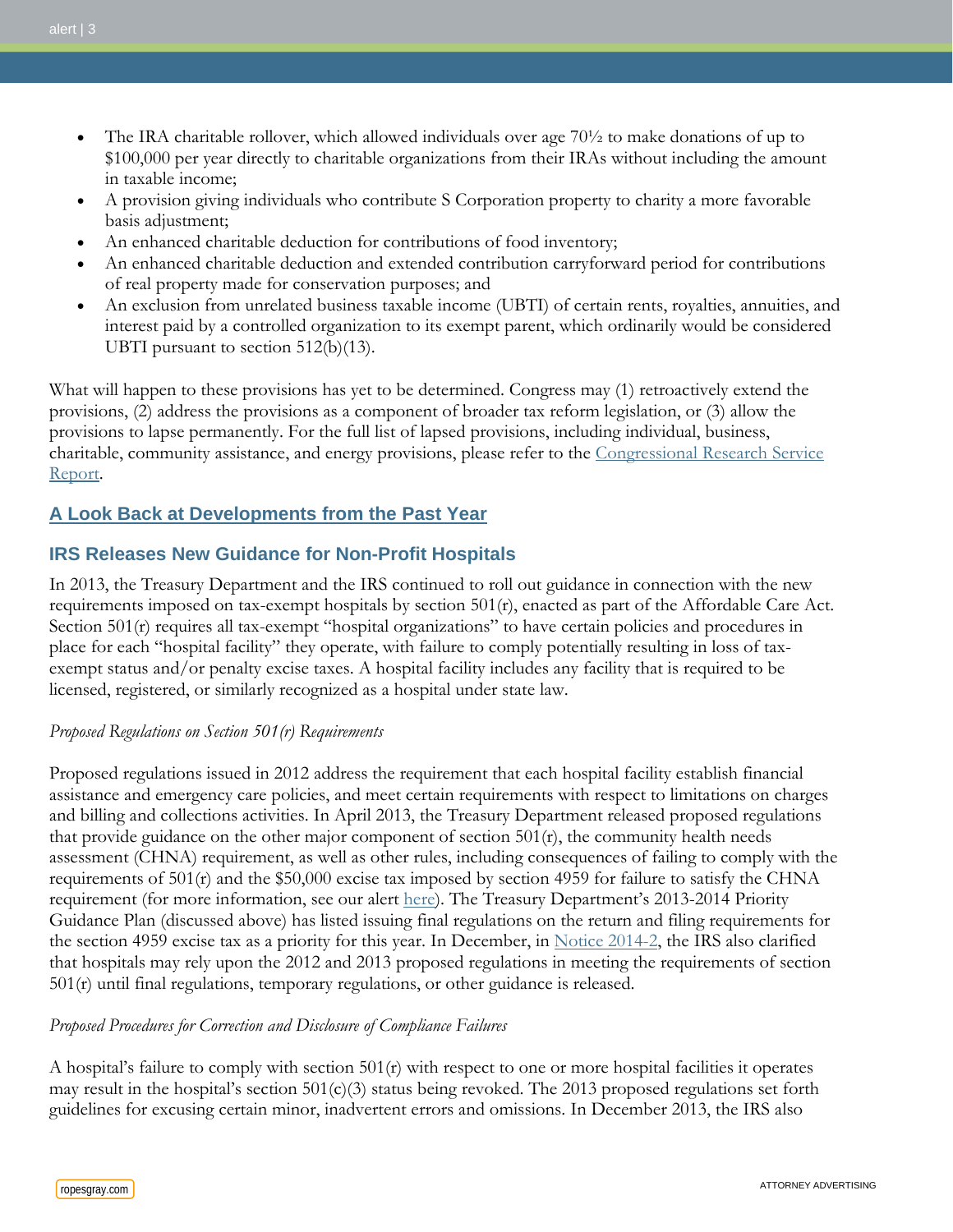- The IRA charitable rollover, which allowed individuals over age  $70\frac{1}{2}$  to make donations of up to \$100,000 per year directly to charitable organizations from their IRAs without including the amount in taxable income;
- A provision giving individuals who contribute S Corporation property to charity a more favorable basis adjustment;
- An enhanced charitable deduction for contributions of food inventory;
- An enhanced charitable deduction and extended contribution carryforward period for contributions of real property made for conservation purposes; and
- An exclusion from unrelated business taxable income (UBTI) of certain rents, royalties, annuities, and interest paid by a controlled organization to its exempt parent, which ordinarily would be considered UBTI pursuant to section 512(b)(13).

What will happen to these provisions has yet to be determined. Congress may (1) retroactively extend the provisions, (2) address the provisions as a component of broader tax reform legislation, or (3) allow the provisions to lapse permanently. For the full list of lapsed provisions, including individual, business, charitable, community assistance, and energy provisions, please refer to the [Congressional Research Service](http://www.fas.org/sgp/crs/misc/R43124.pdf)  [Report.](http://www.fas.org/sgp/crs/misc/R43124.pdf)

### **A Look Back at Developments from the Past Year**

### **IRS Releases New Guidance for Non-Profit Hospitals**

In 2013, the Treasury Department and the IRS continued to roll out guidance in connection with the new requirements imposed on tax-exempt hospitals by section 501(r), enacted as part of the Affordable Care Act. Section 501(r) requires all tax-exempt "hospital organizations" to have certain policies and procedures in place for each "hospital facility" they operate, with failure to comply potentially resulting in loss of taxexempt status and/or penalty excise taxes. A hospital facility includes any facility that is required to be licensed, registered, or similarly recognized as a hospital under state law.

#### *Proposed Regulations on Section 501(r) Requirements*

Proposed regulations issued in 2012 address the requirement that each hospital facility establish financial assistance and emergency care policies, and meet certain requirements with respect to limitations on charges and billing and collections activities. In April 2013, the Treasury Department released proposed regulations that provide guidance on the other major component of section  $501(r)$ , the community health needs assessment (CHNA) requirement, as well as other rules, including consequences of failing to comply with the requirements of  $501(r)$  and the \$50,000 excise tax imposed by section 4959 for failure to satisfy the CHNA requirement (for more information, see our alert [here\)](http://www.ropesgray.com/news-and-insights/Insights/2013/04/New-Guidance-for-Tax-Exempt-Hospitals-on-Community-Health-Needs.aspx). The Treasury Department's 2013-2014 Priority Guidance Plan (discussed above) has listed issuing final regulations on the return and filing requirements for the section 4959 excise tax as a priority for this year. In December, in [Notice 2014-2,](http://www.irs.gov/pub/irs-drop/n-14-03.pdf) the IRS also clarified that hospitals may rely upon the 2012 and 2013 proposed regulations in meeting the requirements of section 501(r) until final regulations, temporary regulations, or other guidance is released.

#### *Proposed Procedures for Correction and Disclosure of Compliance Failures*

A hospital's failure to comply with section 501(r) with respect to one or more hospital facilities it operates may result in the hospital's section  $501(c)(3)$  status being revoked. The 2013 proposed regulations set forth guidelines for excusing certain minor, inadvertent errors and omissions. In December 2013, the IRS also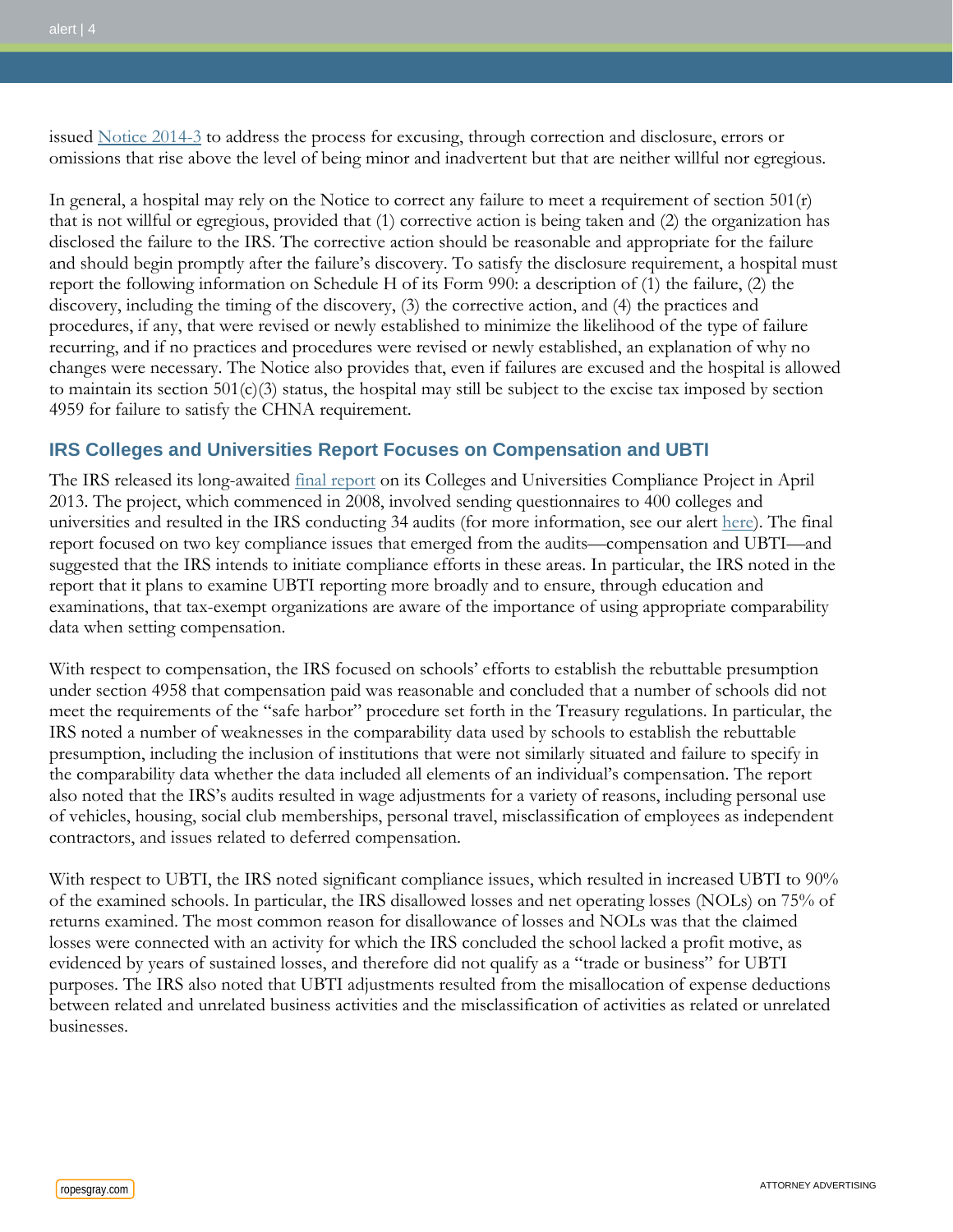issued [Notice 2014-3](http://www.irs.gov/pub/irs-drop/n-14-03.pdf) to address the process for excusing, through correction and disclosure, errors or omissions that rise above the level of being minor and inadvertent but that are neither willful nor egregious.

In general, a hospital may rely on the Notice to correct any failure to meet a requirement of section  $501(r)$ that is not willful or egregious, provided that (1) corrective action is being taken and (2) the organization has disclosed the failure to the IRS. The corrective action should be reasonable and appropriate for the failure and should begin promptly after the failure's discovery. To satisfy the disclosure requirement, a hospital must report the following information on Schedule H of its Form 990: a description of (1) the failure, (2) the discovery, including the timing of the discovery, (3) the corrective action, and (4) the practices and procedures, if any, that were revised or newly established to minimize the likelihood of the type of failure recurring, and if no practices and procedures were revised or newly established, an explanation of why no changes were necessary. The Notice also provides that, even if failures are excused and the hospital is allowed to maintain its section  $501(c)(3)$  status, the hospital may still be subject to the excise tax imposed by section 4959 for failure to satisfy the CHNA requirement.

### **IRS Colleges and Universities Report Focuses on Compensation and UBTI**

The IRS released its long-awaited *[final report](http://www.irs.gov/uac/Newsroom/IRS-Releases-Final-Report-on-Tax-Exempt-Colleges-and-Universities-Compliance-Project)* on its Colleges and Universities Compliance Project in April 2013. The project, which commenced in 2008, involved sending questionnaires to 400 colleges and universities and resulted in the IRS conducting 34 audits (for more information, see our alert [here\)](http://www.ropesgray.com/news-and-insights/Insights/2013/04/Compensation-and-Unrelated-Business-Income-are-Focus-of-IRS-Colleges-and-Universities-Report.aspx). The final report focused on two key compliance issues that emerged from the audits—compensation and UBTI—and suggested that the IRS intends to initiate compliance efforts in these areas. In particular, the IRS noted in the report that it plans to examine UBTI reporting more broadly and to ensure, through education and examinations, that tax-exempt organizations are aware of the importance of using appropriate comparability data when setting compensation.

With respect to compensation, the IRS focused on schools' efforts to establish the rebuttable presumption under section 4958 that compensation paid was reasonable and concluded that a number of schools did not meet the requirements of the "safe harbor" procedure set forth in the Treasury regulations. In particular, the IRS noted a number of weaknesses in the comparability data used by schools to establish the rebuttable presumption, including the inclusion of institutions that were not similarly situated and failure to specify in the comparability data whether the data included all elements of an individual's compensation. The report also noted that the IRS's audits resulted in wage adjustments for a variety of reasons, including personal use of vehicles, housing, social club memberships, personal travel, misclassification of employees as independent contractors, and issues related to deferred compensation.

With respect to UBTI, the IRS noted significant compliance issues, which resulted in increased UBTI to  $90\%$ of the examined schools. In particular, the IRS disallowed losses and net operating losses (NOLs) on 75% of returns examined. The most common reason for disallowance of losses and NOLs was that the claimed losses were connected with an activity for which the IRS concluded the school lacked a profit motive, as evidenced by years of sustained losses, and therefore did not qualify as a "trade or business" for UBTI purposes. The IRS also noted that UBTI adjustments resulted from the misallocation of expense deductions between related and unrelated business activities and the misclassification of activities as related or unrelated businesses.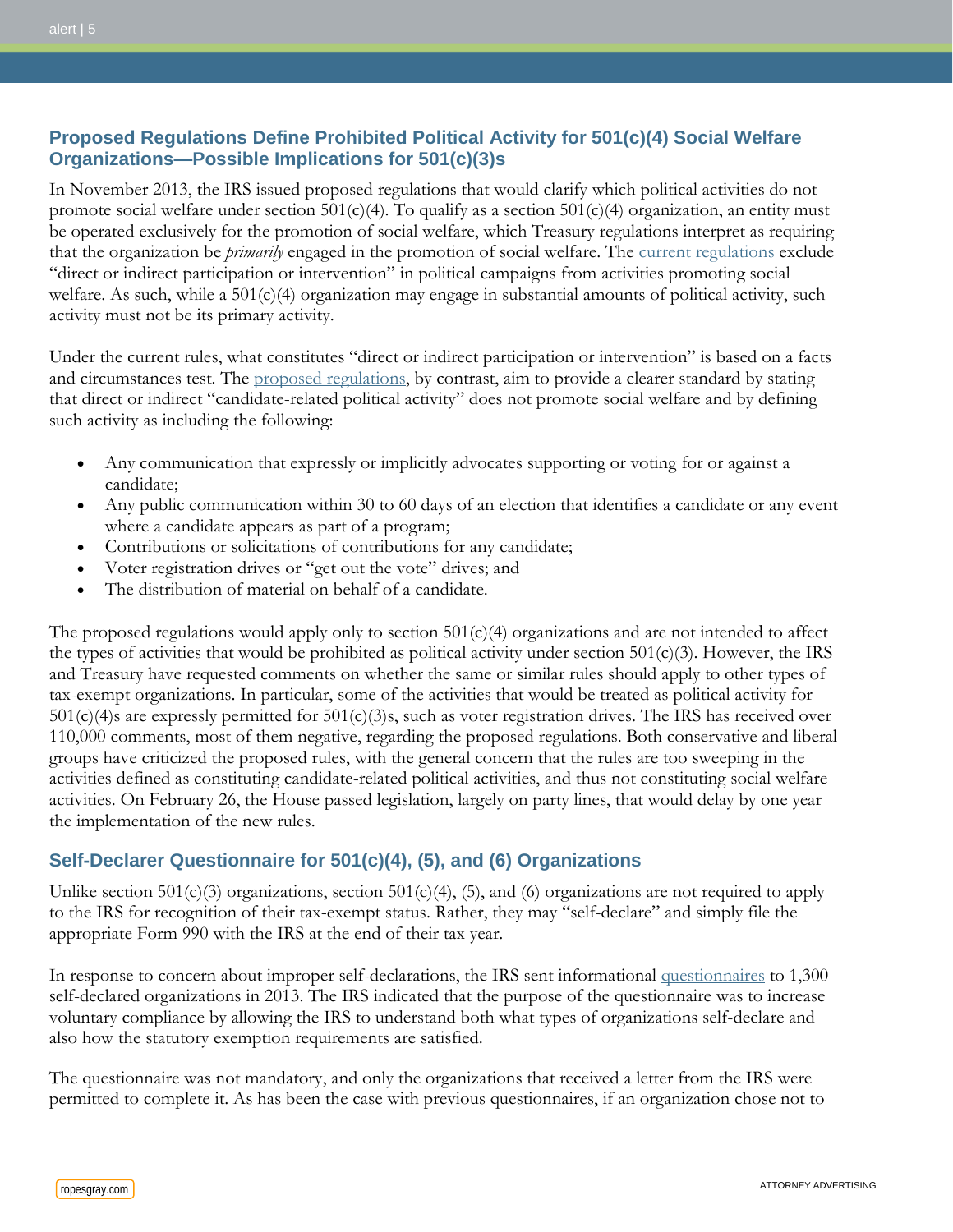# **Proposed Regulations Define Prohibited Political Activity for 501(c)(4) Social Welfare Organizations—Possible Implications for 501(c)(3)s**

In November 2013, the IRS issued proposed regulations that would clarify which political activities do not promote social welfare under section 501(c)(4). To qualify as a section 501(c)(4) organization, an entity must be operated exclusively for the promotion of social welfare, which Treasury regulations interpret as requiring that the organization be *primarily* engaged in the promotion of social welfare. The [current regulations](http://www.ecfr.gov/cgi-bin/text-idx?c=ecfr;sid=768520481e83083b22c455424f5d17a4;rgn=div8;view=text;node=26%3A7.0.1.1.1.0.1.4;idno=26;cc=ecfr) exclude "direct or indirect participation or intervention" in political campaigns from activities promoting social welfare. As such, while a  $501(c)(4)$  organization may engage in substantial amounts of political activity, such activity must not be its primary activity.

Under the current rules, what constitutes "direct or indirect participation or intervention" is based on a facts and circumstances test. The [proposed regulations,](http://www.irs.gov/irb/2013-52_IRB/ar18.html#d0e10420) by contrast, aim to provide a clearer standard by stating that direct or indirect "candidate-related political activity" does not promote social welfare and by defining such activity as including the following:

- Any communication that expressly or implicitly advocates supporting or voting for or against a candidate;
- Any public communication within 30 to 60 days of an election that identifies a candidate or any event where a candidate appears as part of a program;
- Contributions or solicitations of contributions for any candidate;
- Voter registration drives or "get out the vote" drives; and
- The distribution of material on behalf of a candidate.

The proposed regulations would apply only to section  $501(c)(4)$  organizations and are not intended to affect the types of activities that would be prohibited as political activity under section  $501(c)(3)$ . However, the IRS and Treasury have requested comments on whether the same or similar rules should apply to other types of tax-exempt organizations. In particular, some of the activities that would be treated as political activity for 501(c)(4)s are expressly permitted for 501(c)(3)s, such as voter registration drives. The IRS has received over 110,000 comments, most of them negative, regarding the proposed regulations. Both conservative and liberal groups have criticized the proposed rules, with the general concern that the rules are too sweeping in the activities defined as constituting candidate-related political activities, and thus not constituting social welfare activities. On February 26, the House passed legislation, largely on party lines, that would delay by one year the implementation of the new rules.

# **Self-Declarer Questionnaire for 501(c)(4), (5), and (6) Organizations**

Unlike section 501(c)(3) organizations, section 501(c)(4), (5), and (6) organizations are not required to apply to the IRS for recognition of their tax-exempt status. Rather, they may "self-declare" and simply file the appropriate Form 990 with the IRS at the end of their tax year.

In response to concern about improper self-declarations, the IRS sent informational [questionnaires](http://www.irs.gov/pub/irs-tege/Form14449.pdf) to 1,300 self-declared organizations in 2013. The IRS indicated that the purpose of the questionnaire was to increase voluntary compliance by allowing the IRS to understand both what types of organizations self-declare and also how the statutory exemption requirements are satisfied.

The questionnaire was not mandatory, and only the organizations that received a letter from the IRS were permitted to complete it. As has been the case with previous questionnaires, if an organization chose not to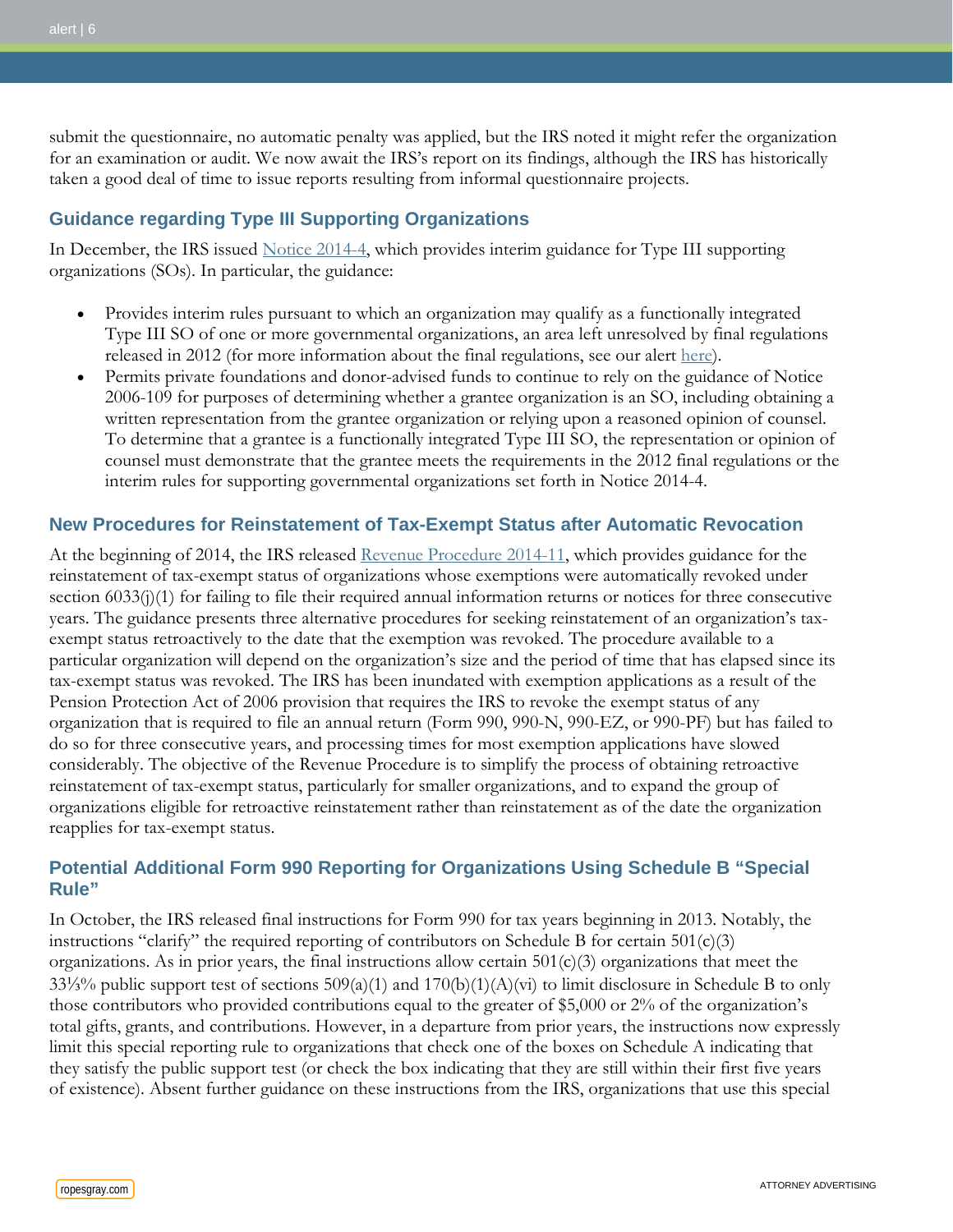submit the questionnaire, no automatic penalty was applied, but the IRS noted it might refer the organization for an examination or audit. We now await the IRS's report on its findings, although the IRS has historically taken a good deal of time to issue reports resulting from informal questionnaire projects.

### **Guidance regarding Type III Supporting Organizations**

In December, the IRS issued [Notice 2014-4,](http://www.irs.gov/pub/irs-drop/n-14-04.pdf) which provides interim guidance for Type III supporting organizations (SOs). In particular, the guidance:

- Provides interim rules pursuant to which an organization may qualify as a functionally integrated Type III SO of one or more governmental organizations, an area left unresolved by final regulations released in 2012 (for more information about the final regulations, see our alert [here\)](http://www.ropesgray.com/news-and-insights/Insights/2013/01/irs-issues-regulations-on-type-iii-supporting-organizations.aspx).
- Permits private foundations and donor-advised funds to continue to rely on the guidance of Notice 2006-109 for purposes of determining whether a grantee organization is an SO, including obtaining a written representation from the grantee organization or relying upon a reasoned opinion of counsel. To determine that a grantee is a functionally integrated Type III SO, the representation or opinion of counsel must demonstrate that the grantee meets the requirements in the 2012 final regulations or the interim rules for supporting governmental organizations set forth in Notice 2014-4.

### **New Procedures for Reinstatement of Tax-Exempt Status after Automatic Revocation**

At the beginning of 2014, the IRS released [Revenue Procedure 2014-11,](http://www.irs.gov/pub/irs-drop/rp-14-11.pdf) which provides guidance for the reinstatement of tax-exempt status of organizations whose exemptions were automatically revoked under section 6033(j)(1) for failing to file their required annual information returns or notices for three consecutive years. The guidance presents three alternative procedures for seeking reinstatement of an organization's taxexempt status retroactively to the date that the exemption was revoked. The procedure available to a particular organization will depend on the organization's size and the period of time that has elapsed since its tax-exempt status was revoked. The IRS has been inundated with exemption applications as a result of the Pension Protection Act of 2006 provision that requires the IRS to revoke the exempt status of any organization that is required to file an annual return (Form 990, 990-N, 990-EZ, or 990-PF) but has failed to do so for three consecutive years, and processing times for most exemption applications have slowed considerably. The objective of the Revenue Procedure is to simplify the process of obtaining retroactive reinstatement of tax-exempt status, particularly for smaller organizations, and to expand the group of organizations eligible for retroactive reinstatement rather than reinstatement as of the date the organization reapplies for tax-exempt status.

# **Potential Additional Form 990 Reporting for Organizations Using Schedule B "Special Rule"**

In October, the IRS released final instructions for Form 990 for tax years beginning in 2013. Notably, the instructions "clarify" the required reporting of contributors on Schedule B for certain  $501(c)(3)$ organizations. As in prior years, the final instructions allow certain  $501(c)(3)$  organizations that meet the 33⅓% public support test of sections 509(a)(1) and 170(b)(1)(A)(vi) to limit disclosure in Schedule B to only those contributors who provided contributions equal to the greater of \$5,000 or 2% of the organization's total gifts, grants, and contributions. However, in a departure from prior years, the instructions now expressly limit this special reporting rule to organizations that check one of the boxes on Schedule A indicating that they satisfy the public support test (or check the box indicating that they are still within their first five years of existence). Absent further guidance on these instructions from the IRS, organizations that use this special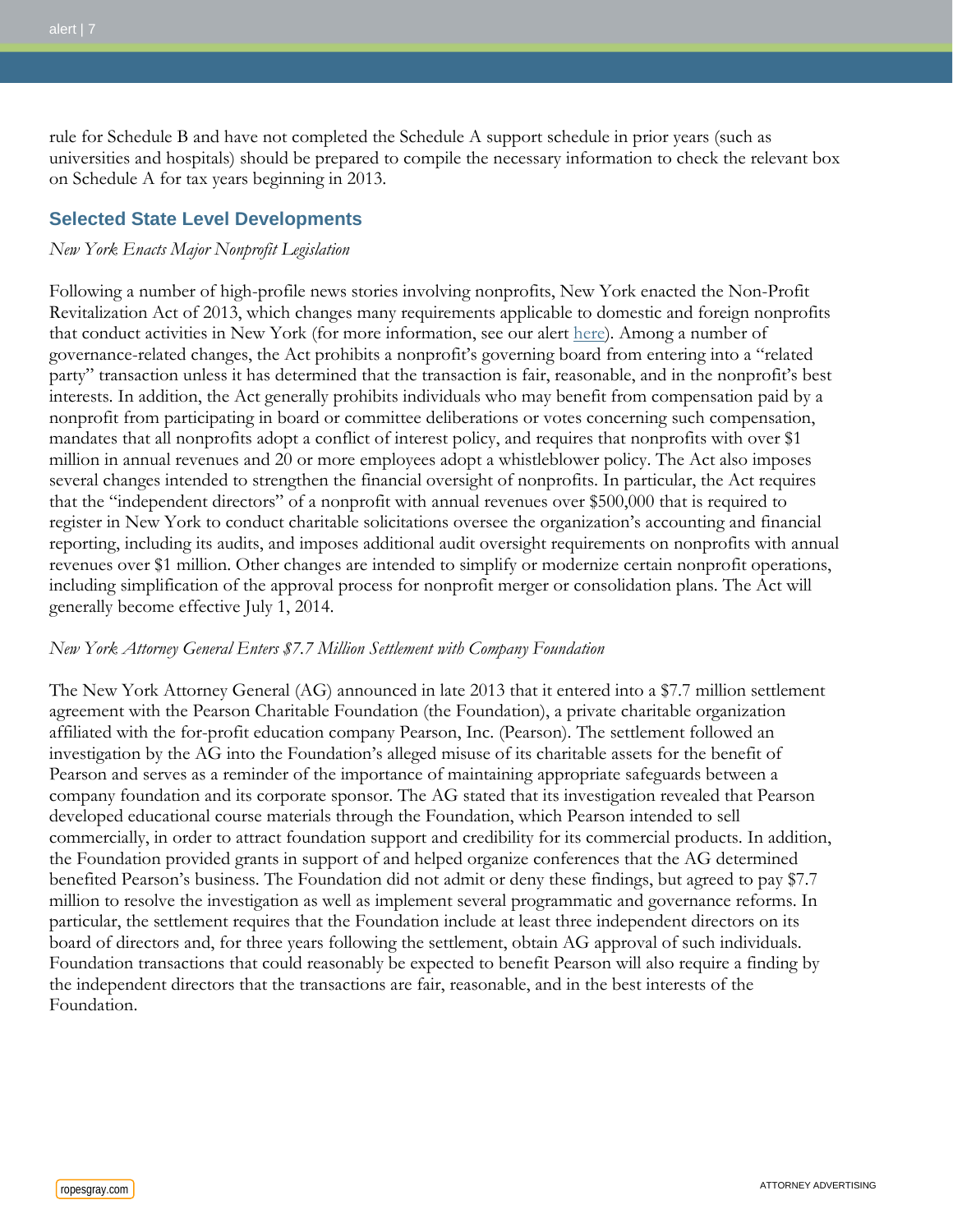rule for Schedule B and have not completed the Schedule A support schedule in prior years (such as universities and hospitals) should be prepared to compile the necessary information to check the relevant box on Schedule A for tax years beginning in 2013.

### **Selected State Level Developments**

#### *New York Enacts Major Nonprofit Legislation*

Following a number of high-profile news stories involving nonprofits, New York enacted the Non-Profit Revitalization Act of 2013, which changes many requirements applicable to domestic and foreign nonprofits that conduct activities in New York (for more information, see our alert [here\)](http://www.ropesgray.com/news-and-insights/Insights/2013/12/Major-Reforms-for-New-York-Nonprofits-Signed-Into-Law.aspx). Among a number of governance-related changes, the Act prohibits a nonprofit's governing board from entering into a "related party" transaction unless it has determined that the transaction is fair, reasonable, and in the nonprofit's best interests. In addition, the Act generally prohibits individuals who may benefit from compensation paid by a nonprofit from participating in board or committee deliberations or votes concerning such compensation, mandates that all nonprofits adopt a conflict of interest policy, and requires that nonprofits with over \$1 million in annual revenues and 20 or more employees adopt a whistleblower policy. The Act also imposes several changes intended to strengthen the financial oversight of nonprofits. In particular, the Act requires that the "independent directors" of a nonprofit with annual revenues over \$500,000 that is required to register in New York to conduct charitable solicitations oversee the organization's accounting and financial reporting, including its audits, and imposes additional audit oversight requirements on nonprofits with annual revenues over \$1 million. Other changes are intended to simplify or modernize certain nonprofit operations, including simplification of the approval process for nonprofit merger or consolidation plans. The Act will generally become effective July 1, 2014.

#### *New York Attorney General Enters \$7.7 Million Settlement with Company Foundation*

The New York Attorney General (AG) announced in late 2013 that it entered into a \$7.7 million settlement agreement with the Pearson Charitable Foundation (the Foundation), a private charitable organization affiliated with the for-profit education company Pearson, Inc. (Pearson). The settlement followed an investigation by the AG into the Foundation's alleged misuse of its charitable assets for the benefit of Pearson and serves as a reminder of the importance of maintaining appropriate safeguards between a company foundation and its corporate sponsor. The AG stated that its investigation revealed that Pearson developed educational course materials through the Foundation, which Pearson intended to sell commercially, in order to attract foundation support and credibility for its commercial products. In addition, the Foundation provided grants in support of and helped organize conferences that the AG determined benefited Pearson's business. The Foundation did not admit or deny these findings, but agreed to pay \$7.7 million to resolve the investigation as well as implement several programmatic and governance reforms. In particular, the settlement requires that the Foundation include at least three independent directors on its board of directors and, for three years following the settlement, obtain AG approval of such individuals. Foundation transactions that could reasonably be expected to benefit Pearson will also require a finding by the independent directors that the transactions are fair, reasonable, and in the best interests of the Foundation.